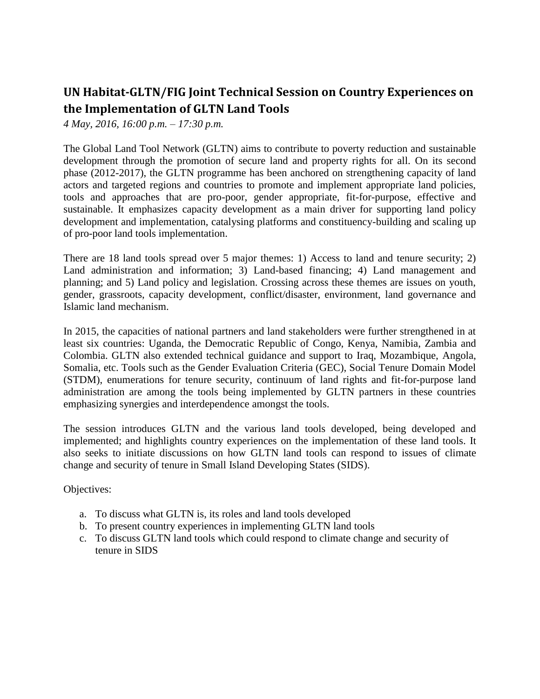## **UN Habitat-GLTN/FIG Joint Technical Session on Country Experiences on the Implementation of GLTN Land Tools**

*4 May, 2016, 16:00 p.m. – 17:30 p.m.*

The Global Land Tool Network (GLTN) aims to contribute to poverty reduction and sustainable development through the promotion of secure land and property rights for all. On its second phase (2012-2017), the GLTN programme has been anchored on strengthening capacity of land actors and targeted regions and countries to promote and implement appropriate land policies, tools and approaches that are pro-poor, gender appropriate, fit-for-purpose, effective and sustainable. It emphasizes capacity development as a main driver for supporting land policy development and implementation, catalysing platforms and constituency-building and scaling up of pro-poor land tools implementation.

There are 18 land tools spread over 5 major themes: 1) Access to land and tenure security; 2) Land administration and information; 3) Land-based financing; 4) Land management and planning; and 5) Land policy and legislation. Crossing across these themes are issues on youth, gender, grassroots, capacity development, conflict/disaster, environment, land governance and Islamic land mechanism.

In 2015, the capacities of national partners and land stakeholders were further strengthened in at least six countries: Uganda, the Democratic Republic of Congo, Kenya, Namibia, Zambia and Colombia. GLTN also extended technical guidance and support to Iraq, Mozambique, Angola, Somalia, etc. Tools such as the Gender Evaluation Criteria (GEC), Social Tenure Domain Model (STDM), enumerations for tenure security, continuum of land rights and fit-for-purpose land administration are among the tools being implemented by GLTN partners in these countries emphasizing synergies and interdependence amongst the tools.

The session introduces GLTN and the various land tools developed, being developed and implemented; and highlights country experiences on the implementation of these land tools. It also seeks to initiate discussions on how GLTN land tools can respond to issues of climate change and security of tenure in Small Island Developing States (SIDS).

Objectives:

- a. To discuss what GLTN is, its roles and land tools developed
- b. To present country experiences in implementing GLTN land tools
- c. To discuss GLTN land tools which could respond to climate change and security of tenure in SIDS